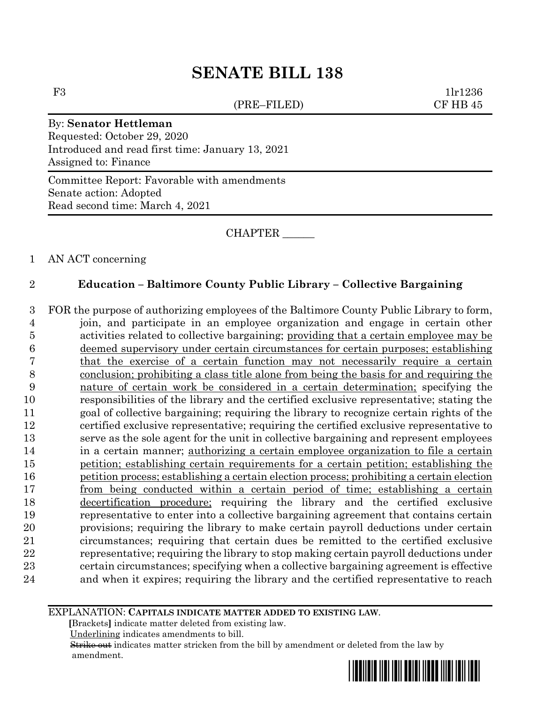(PRE–FILED) CF HB 45

F3 1lr1236

## By: **Senator Hettleman**

Requested: October 29, 2020 Introduced and read first time: January 13, 2021 Assigned to: Finance

Committee Report: Favorable with amendments Senate action: Adopted Read second time: March 4, 2021

CHAPTER \_\_\_\_\_\_

#### 1 AN ACT concerning

### 2 **Education – Baltimore County Public Library – Collective Bargaining**

 FOR the purpose of authorizing employees of the Baltimore County Public Library to form, join, and participate in an employee organization and engage in certain other activities related to collective bargaining; providing that a certain employee may be deemed supervisory under certain circumstances for certain purposes; establishing that the exercise of a certain function may not necessarily require a certain conclusion; prohibiting a class title alone from being the basis for and requiring the nature of certain work be considered in a certain determination; specifying the responsibilities of the library and the certified exclusive representative; stating the goal of collective bargaining; requiring the library to recognize certain rights of the certified exclusive representative; requiring the certified exclusive representative to serve as the sole agent for the unit in collective bargaining and represent employees in a certain manner; authorizing a certain employee organization to file a certain petition; establishing certain requirements for a certain petition; establishing the petition process; establishing a certain election process; prohibiting a certain election from being conducted within a certain period of time; establishing a certain decertification procedure; requiring the library and the certified exclusive representative to enter into a collective bargaining agreement that contains certain provisions; requiring the library to make certain payroll deductions under certain circumstances; requiring that certain dues be remitted to the certified exclusive representative; requiring the library to stop making certain payroll deductions under certain circumstances; specifying when a collective bargaining agreement is effective and when it expires; requiring the library and the certified representative to reach

#### EXPLANATION: **CAPITALS INDICATE MATTER ADDED TO EXISTING LAW**.

 **[**Brackets**]** indicate matter deleted from existing law.

Underlining indicates amendments to bill.

 Strike out indicates matter stricken from the bill by amendment or deleted from the law by amendment.

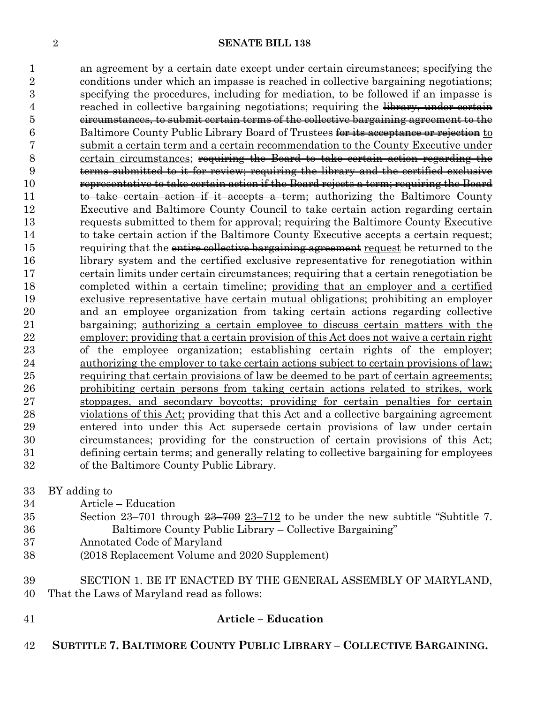an agreement by a certain date except under certain circumstances; specifying the conditions under which an impasse is reached in collective bargaining negotiations; specifying the procedures, including for mediation, to be followed if an impasse is 4 reached in collective bargaining negotiations; requiring the library, under certain circumstances, to submit certain terms of the collective bargaining agreement to the 6 Baltimore County Public Library Board of Trustees for its acceptance or rejection to submit a certain term and a certain recommendation to the County Executive under certain circumstances; requiring the Board to take certain action regarding the terms submitted to it for review; requiring the library and the certified exclusive representative to take certain action if the Board rejects a term; requiring the Board 11 to take certain action if it accepts a term; authorizing the Baltimore County Executive and Baltimore County Council to take certain action regarding certain requests submitted to them for approval; requiring the Baltimore County Executive to take certain action if the Baltimore County Executive accepts a certain request; 15 requiring that the entire collective bargaining agreement request be returned to the library system and the certified exclusive representative for renegotiation within certain limits under certain circumstances; requiring that a certain renegotiation be completed within a certain timeline; providing that an employer and a certified exclusive representative have certain mutual obligations; prohibiting an employer and an employee organization from taking certain actions regarding collective bargaining; authorizing a certain employee to discuss certain matters with the employer; providing that a certain provision of this Act does not waive a certain right of the employee organization; establishing certain rights of the employer; authorizing the employer to take certain actions subject to certain provisions of law; requiring that certain provisions of law be deemed to be part of certain agreements; prohibiting certain persons from taking certain actions related to strikes, work stoppages, and secondary boycotts; providing for certain penalties for certain violations of this Act; providing that this Act and a collective bargaining agreement entered into under this Act supersede certain provisions of law under certain circumstances; providing for the construction of certain provisions of this Act; defining certain terms; and generally relating to collective bargaining for employees of the Baltimore County Public Library.

BY adding to

- Article Education
- 35 Section  $23-701$  through  $\frac{23-709}{23-712}$  to be under the new subtitle "Subtitle 7. Baltimore County Public Library – Collective Bargaining"
- Annotated Code of Maryland
- (2018 Replacement Volume and 2020 Supplement)
- SECTION 1. BE IT ENACTED BY THE GENERAL ASSEMBLY OF MARYLAND, That the Laws of Maryland read as follows:
- **Article – Education**
	- **SUBTITLE 7. BALTIMORE COUNTY PUBLIC LIBRARY – COLLECTIVE BARGAINING.**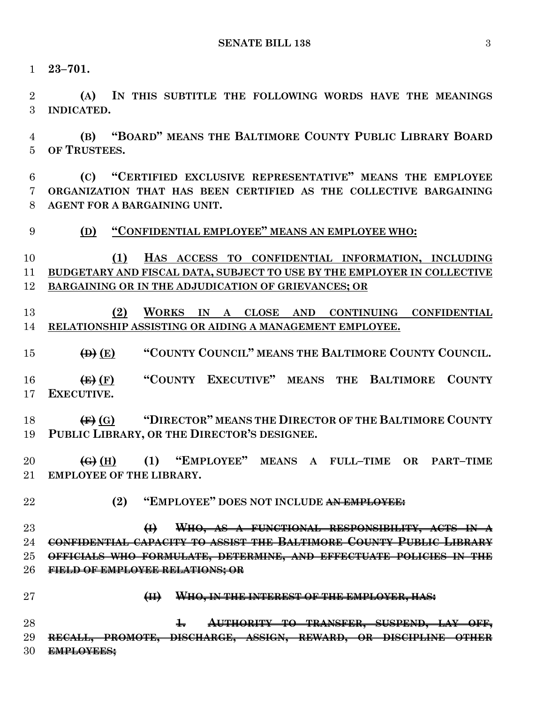**23–701.**

 **(A) IN THIS SUBTITLE THE FOLLOWING WORDS HAVE THE MEANINGS INDICATED.**

 **(B) "BOARD" MEANS THE BALTIMORE COUNTY PUBLIC LIBRARY BOARD OF TRUSTEES.**

 **(C) "CERTIFIED EXCLUSIVE REPRESENTATIVE" MEANS THE EMPLOYEE ORGANIZATION THAT HAS BEEN CERTIFIED AS THE COLLECTIVE BARGAINING AGENT FOR A BARGAINING UNIT.**

**(D) "CONFIDENTIAL EMPLOYEE" MEANS AN EMPLOYEE WHO:**

 **(1) HAS ACCESS TO CONFIDENTIAL INFORMATION, INCLUDING BUDGETARY AND FISCAL DATA, SUBJECT TO USE BY THE EMPLOYER IN COLLECTIVE BARGAINING OR IN THE ADJUDICATION OF GRIEVANCES; OR**

 **(2) WORKS IN A CLOSE AND CONTINUING CONFIDENTIAL RELATIONSHIP ASSISTING OR AIDING A MANAGEMENT EMPLOYEE.**

**(D) (E) "COUNTY COUNCIL" MEANS THE BALTIMORE COUNTY COUNCIL.**

 **(E) (F) "COUNTY EXECUTIVE" MEANS THE BALTIMORE COUNTY EXECUTIVE.**

 **(F) (G) "DIRECTOR" MEANS THE DIRECTOR OF THE BALTIMORE COUNTY PUBLIC LIBRARY, OR THE DIRECTOR'S DESIGNEE.**

 **(G) (H) (1) "EMPLOYEE" MEANS A FULL–TIME OR PART–TIME EMPLOYEE OF THE LIBRARY.**

**(2) "EMPLOYEE" DOES NOT INCLUDE AN EMPLOYEE:**

 **(I) WHO, AS A FUNCTIONAL RESPONSIBILITY, ACTS IN A CONFIDENTIAL CAPACITY TO ASSIST THE BALTIMORE COUNTY PUBLIC LIBRARY OFFICIALS WHO FORMULATE, DETERMINE, AND EFFECTUATE POLICIES IN THE FIELD OF EMPLOYEE RELATIONS; OR**

- 
- **(II) WHO, IN THE INTEREST OF THE EMPLOYER, HAS:**

 **1. AUTHORITY TO TRANSFER, SUSPEND, LAY OFF, RECALL, PROMOTE, DISCHARGE, ASSIGN, REWARD, OR DISCIPLINE OTHER EMPLOYEES;**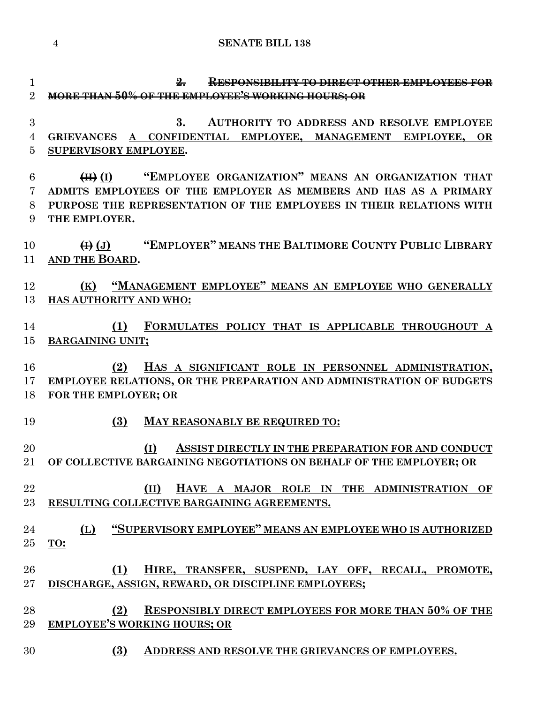**2. RESPONSIBILITY TO DIRECT OTHER EMPLOYEES FOR MORE THAN 50% OF THE EMPLOYEE'S WORKING HOURS; OR 3. AUTHORITY TO ADDRESS AND RESOLVE EMPLOYEE GRIEVANCES A CONFIDENTIAL EMPLOYEE, MANAGEMENT EMPLOYEE, OR SUPERVISORY EMPLOYEE. (H) (I) "EMPLOYEE ORGANIZATION" MEANS AN ORGANIZATION THAT ADMITS EMPLOYEES OF THE EMPLOYER AS MEMBERS AND HAS AS A PRIMARY PURPOSE THE REPRESENTATION OF THE EMPLOYEES IN THEIR RELATIONS WITH THE EMPLOYER. (I) (J) "EMPLOYER" MEANS THE BALTIMORE COUNTY PUBLIC LIBRARY AND THE BOARD. (K) "MANAGEMENT EMPLOYEE" MEANS AN EMPLOYEE WHO GENERALLY HAS AUTHORITY AND WHO: (1) FORMULATES POLICY THAT IS APPLICABLE THROUGHOUT A BARGAINING UNIT; (2) HAS A SIGNIFICANT ROLE IN PERSONNEL ADMINISTRATION, EMPLOYEE RELATIONS, OR THE PREPARATION AND ADMINISTRATION OF BUDGETS FOR THE EMPLOYER; OR (3) MAY REASONABLY BE REQUIRED TO: (I) ASSIST DIRECTLY IN THE PREPARATION FOR AND CONDUCT OF COLLECTIVE BARGAINING NEGOTIATIONS ON BEHALF OF THE EMPLOYER; OR (II) HAVE A MAJOR ROLE IN THE ADMINISTRATION OF RESULTING COLLECTIVE BARGAINING AGREEMENTS. (L) "SUPERVISORY EMPLOYEE" MEANS AN EMPLOYEE WHO IS AUTHORIZED TO: (1) HIRE, TRANSFER, SUSPEND, LAY OFF, RECALL, PROMOTE, DISCHARGE, ASSIGN, REWARD, OR DISCIPLINE EMPLOYEES; (2) RESPONSIBLY DIRECT EMPLOYEES FOR MORE THAN 50% OF THE EMPLOYEE'S WORKING HOURS; OR (3) ADDRESS AND RESOLVE THE GRIEVANCES OF EMPLOYEES.**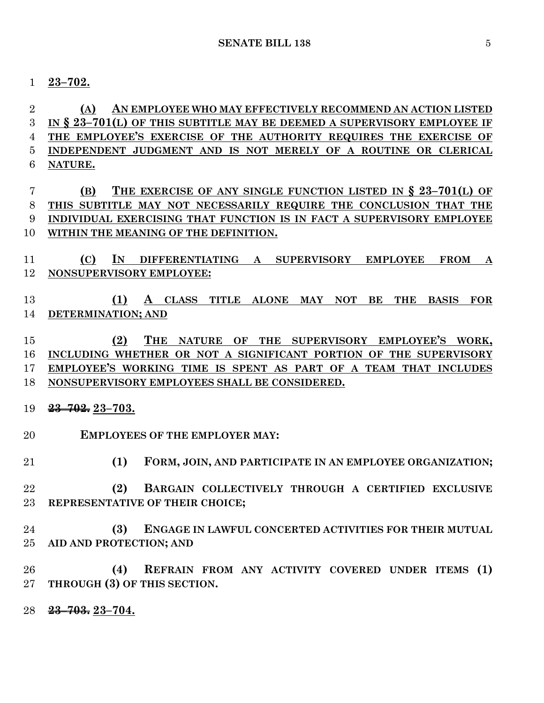**23–702.**

 **(A) AN EMPLOYEE WHO MAY EFFECTIVELY RECOMMEND AN ACTION LISTED IN § 23–701(L) OF THIS SUBTITLE MAY BE DEEMED A SUPERVISORY EMPLOYEE IF THE EMPLOYEE'S EXERCISE OF THE AUTHORITY REQUIRES THE EXERCISE OF INDEPENDENT JUDGMENT AND IS NOT MERELY OF A ROUTINE OR CLERICAL NATURE.**

 **(B) THE EXERCISE OF ANY SINGLE FUNCTION LISTED IN § 23–701(L) OF THIS SUBTITLE MAY NOT NECESSARILY REQUIRE THE CONCLUSION THAT THE INDIVIDUAL EXERCISING THAT FUNCTION IS IN FACT A SUPERVISORY EMPLOYEE WITHIN THE MEANING OF THE DEFINITION.**

 **(C) IN DIFFERENTIATING A SUPERVISORY EMPLOYEE FROM A NONSUPERVISORY EMPLOYEE:**

 **(1) A CLASS TITLE ALONE MAY NOT BE THE BASIS FOR DETERMINATION; AND**

 **(2) THE NATURE OF THE SUPERVISORY EMPLOYEE'S WORK, INCLUDING WHETHER OR NOT A SIGNIFICANT PORTION OF THE SUPERVISORY EMPLOYEE'S WORKING TIME IS SPENT AS PART OF A TEAM THAT INCLUDES NONSUPERVISORY EMPLOYEES SHALL BE CONSIDERED.**

- **23–702. 23–703.**
- **EMPLOYEES OF THE EMPLOYER MAY:**
- **(1) FORM, JOIN, AND PARTICIPATE IN AN EMPLOYEE ORGANIZATION;**
- **(2) BARGAIN COLLECTIVELY THROUGH A CERTIFIED EXCLUSIVE REPRESENTATIVE OF THEIR CHOICE;**
- **(3) ENGAGE IN LAWFUL CONCERTED ACTIVITIES FOR THEIR MUTUAL AID AND PROTECTION; AND**
- **(4) REFRAIN FROM ANY ACTIVITY COVERED UNDER ITEMS (1) THROUGH (3) OF THIS SECTION.**
- **23–703. 23–704.**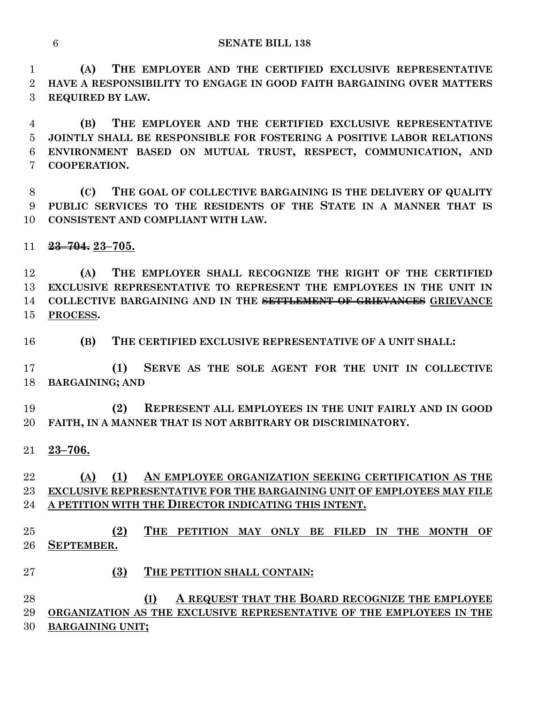**(A) THE EMPLOYER AND THE CERTIFIED EXCLUSIVE REPRESENTATIVE HAVE A RESPONSIBILITY TO ENGAGE IN GOOD FAITH BARGAINING OVER MATTERS REQUIRED BY LAW.**

 **(B) THE EMPLOYER AND THE CERTIFIED EXCLUSIVE REPRESENTATIVE JOINTLY SHALL BE RESPONSIBLE FOR FOSTERING A POSITIVE LABOR RELATIONS ENVIRONMENT BASED ON MUTUAL TRUST, RESPECT, COMMUNICATION, AND COOPERATION.**

 **(C) THE GOAL OF COLLECTIVE BARGAINING IS THE DELIVERY OF QUALITY PUBLIC SERVICES TO THE RESIDENTS OF THE STATE IN A MANNER THAT IS CONSISTENT AND COMPLIANT WITH LAW.**

**23–704. 23–705.**

 **(A) THE EMPLOYER SHALL RECOGNIZE THE RIGHT OF THE CERTIFIED EXCLUSIVE REPRESENTATIVE TO REPRESENT THE EMPLOYEES IN THE UNIT IN COLLECTIVE BARGAINING AND IN THE SETTLEMENT OF GRIEVANCES GRIEVANCE PROCESS.**

**(B) THE CERTIFIED EXCLUSIVE REPRESENTATIVE OF A UNIT SHALL:**

 **(1) SERVE AS THE SOLE AGENT FOR THE UNIT IN COLLECTIVE BARGAINING; AND**

 **(2) REPRESENT ALL EMPLOYEES IN THE UNIT FAIRLY AND IN GOOD FAITH, IN A MANNER THAT IS NOT ARBITRARY OR DISCRIMINATORY.**

**23–706.**

## **(A) (1) AN EMPLOYEE ORGANIZATION SEEKING CERTIFICATION AS THE EXCLUSIVE REPRESENTATIVE FOR THE BARGAINING UNIT OF EMPLOYEES MAY FILE A PETITION WITH THE DIRECTOR INDICATING THIS INTENT.**

 **(2) THE PETITION MAY ONLY BE FILED IN THE MONTH OF SEPTEMBER.**

**(3) THE PETITION SHALL CONTAIN:**

 **(I) A REQUEST THAT THE BOARD RECOGNIZE THE EMPLOYEE ORGANIZATION AS THE EXCLUSIVE REPRESENTATIVE OF THE EMPLOYEES IN THE BARGAINING UNIT;**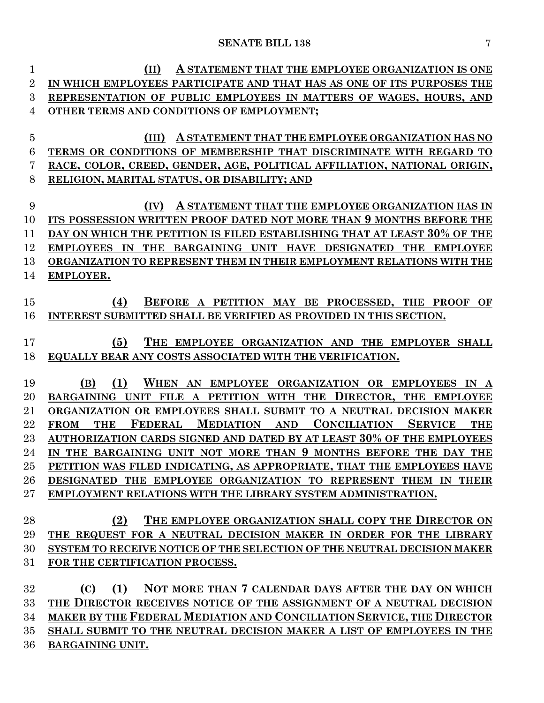| $\mathbf{1}$   | A STATEMENT THAT THE EMPLOYEE ORGANIZATION IS ONE<br>(II)                                                                            |
|----------------|--------------------------------------------------------------------------------------------------------------------------------------|
| $\overline{2}$ | IN WHICH EMPLOYEES PARTICIPATE AND THAT HAS AS ONE OF ITS PURPOSES THE                                                               |
| 3              | REPRESENTATION OF PUBLIC EMPLOYEES IN MATTERS OF WAGES, HOURS, AND                                                                   |
| 4              | OTHER TERMS AND CONDITIONS OF EMPLOYMENT;                                                                                            |
|                |                                                                                                                                      |
| $\overline{5}$ | (III)<br>A STATEMENT THAT THE EMPLOYEE ORGANIZATION HAS NO                                                                           |
| 6              | TERMS OR CONDITIONS OF MEMBERSHIP THAT DISCRIMINATE WITH REGARD TO                                                                   |
| 7              | RACE, COLOR, CREED, GENDER, AGE, POLITICAL AFFILIATION, NATIONAL ORIGIN,                                                             |
| 8              | RELIGION, MARITAL STATUS, OR DISABILITY; AND                                                                                         |
|                |                                                                                                                                      |
| 9<br>10        | A STATEMENT THAT THE EMPLOYEE ORGANIZATION HAS IN<br>(IV)<br>ITS POSSESSION WRITTEN PROOF DATED NOT MORE THAN 9 MONTHS BEFORE THE    |
| 11             | DAY ON WHICH THE PETITION IS FILED ESTABLISHING THAT AT LEAST 30% OF THE                                                             |
|                | THE BARGAINING UNIT HAVE DESIGNATED THE EMPLOYEE                                                                                     |
| 12             | <b>EMPLOYEES IN</b>                                                                                                                  |
| 13             | ORGANIZATION TO REPRESENT THEM IN THEIR EMPLOYMENT RELATIONS WITH THE                                                                |
| 14             | EMPLOYER.                                                                                                                            |
| 15             | (4)<br>BEFORE A PETITION MAY BE PROCESSED, THE PROOF OF                                                                              |
| 16             | INTEREST SUBMITTED SHALL BE VERIFIED AS PROVIDED IN THIS SECTION.                                                                    |
|                |                                                                                                                                      |
| 17             | (5)<br>THE EMPLOYEE ORGANIZATION AND THE EMPLOYER SHALL                                                                              |
| 18             | EQUALLY BEAR ANY COSTS ASSOCIATED WITH THE VERIFICATION.                                                                             |
|                |                                                                                                                                      |
| 19             | (1)<br>WHEN AN EMPLOYEE ORGANIZATION OR EMPLOYEES<br>(B)<br>IN<br>A                                                                  |
| 20             | A PETITION WITH THE DIRECTOR, THE EMPLOYEE<br>BARGAINING UNIT FILE                                                                   |
| 21             | ORGANIZATION OR EMPLOYEES SHALL SUBMIT TO A NEUTRAL DECISION MAKER                                                                   |
| 22             | <b>CONCILIATION</b><br><b>SERVICE</b><br><b>FEDERAL</b><br><b>MEDIATION</b><br><b>AND</b><br><b>THE</b><br><b>THE</b><br><b>FROM</b> |
| 23             | AUTHORIZATION CARDS SIGNED AND DATED BY AT LEAST 30% OF THE EMPLOYEES                                                                |
| 24             | IN THE BARGAINING UNIT NOT MORE THAN 9 MONTHS BEFORE THE DAY THE                                                                     |
| 25             | PETITION WAS FILED INDICATING, AS APPROPRIATE, THAT THE EMPLOYEES HAVE                                                               |
| 26             | DESIGNATED THE EMPLOYEE ORGANIZATION TO REPRESENT THEM IN THEIR                                                                      |
| 27             | EMPLOYMENT RELATIONS WITH THE LIBRARY SYSTEM ADMINISTRATION.                                                                         |
|                |                                                                                                                                      |
| 28             | THE EMPLOYEE ORGANIZATION SHALL COPY THE DIRECTOR ON<br>(2)                                                                          |
| 29             | THE REQUEST FOR A NEUTRAL DECISION MAKER IN ORDER FOR THE LIBRARY                                                                    |
| 30             | SYSTEM TO RECEIVE NOTICE OF THE SELECTION OF THE NEUTRAL DECISION MAKER                                                              |
| 31             | FOR THE CERTIFICATION PROCESS.                                                                                                       |
|                |                                                                                                                                      |
| 32             | NOT MORE THAN 7 CALENDAR DAYS AFTER THE DAY ON WHICH<br>(1)<br>(C)                                                                   |
| 33             | THE DIRECTOR RECEIVES NOTICE OF THE ASSIGNMENT OF A NEUTRAL DECISION                                                                 |
| 34             | MAKER BY THE FEDERAL MEDIATION AND CONCILIATION SERVICE, THE DIRECTOR                                                                |
| 35             | SHALL SUBMIT TO THE NEUTRAL DECISION MAKER A LIST OF EMPLOYEES IN THE                                                                |
| 36             | BARGAINING UNIT.                                                                                                                     |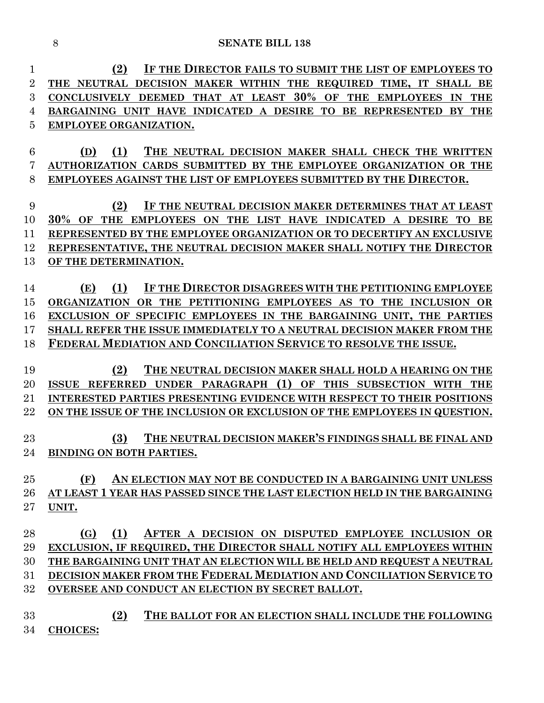| 1              | IF THE DIRECTOR FAILS TO SUBMIT THE LIST OF EMPLOYEES TO<br>(2)                                |
|----------------|------------------------------------------------------------------------------------------------|
| $\overline{2}$ | THE NEUTRAL DECISION MAKER WITHIN THE REQUIRED TIME, IT SHALL BE                               |
| 3              | THAT AT LEAST 30% OF THE EMPLOYEES<br>CONCLUSIVELY DEEMED<br><b>THE</b><br>IN                  |
| 4              | TO BE REPRESENTED<br>BARGAINING UNIT HAVE INDICATED A DESIRE<br>BY THE                         |
| 5              | EMPLOYEE ORGANIZATION.                                                                         |
|                |                                                                                                |
| 6              | (1)<br>THE NEUTRAL DECISION MAKER SHALL CHECK THE WRITTEN<br>(D)                               |
| 7              | AUTHORIZATION CARDS SUBMITTED BY THE EMPLOYEE ORGANIZATION OR THE                              |
| 8              | EMPLOYEES AGAINST THE LIST OF EMPLOYEES SUBMITTED BY THE DIRECTOR.                             |
|                |                                                                                                |
| 9              | (2)<br>IF THE NEUTRAL DECISION MAKER DETERMINES THAT AT LEAST                                  |
| 10             | 30% OF<br><b>THE</b><br>EMPLOYEES ON THE LIST HAVE INDICATED<br>A DESIRE<br>TO<br>BE           |
| 11             | REPRESENTED BY THE EMPLOYEE ORGANIZATION OR TO DECERTIFY AN EXCLUSIVE                          |
| 12             | REPRESENTATIVE, THE NEUTRAL DECISION MAKER SHALL NOTIFY THE DIRECTOR                           |
| 13             | OF THE DETERMINATION.                                                                          |
|                |                                                                                                |
| 14             | (1)<br>IF THE DIRECTOR DISAGREES WITH THE PETITIONING EMPLOYEE<br>(E)                          |
| 15             | <b>ORGANIZATION</b><br>OR THE PETITIONING EMPLOYEES AS TO THE INCLUSION OR                     |
| 16             | EXCLUSION OF SPECIFIC EMPLOYEES IN THE BARGAINING UNIT, THE PARTIES                            |
| 17             | SHALL REFER THE ISSUE IMMEDIATELY TO A NEUTRAL DECISION MAKER FROM THE                         |
| 18             | FEDERAL MEDIATION AND CONCILIATION SERVICE TO RESOLVE THE ISSUE.                               |
|                |                                                                                                |
| 19             | (2)<br>THE NEUTRAL DECISION MAKER SHALL HOLD A HEARING ON THE                                  |
| 20             | (1)<br>OF<br>THIS SUBSECTION WITH<br><b>ISSUE</b><br><b>REFERRED</b><br>UNDER PARAGRAPH<br>THE |
| 21             | <b>INTERESTED PARTIES PRESENTING EVIDENCE WITH RESPECT TO THEIR POSITIONS</b>                  |
| 22             | ON THE ISSUE OF THE INCLUSION OR EXCLUSION OF THE EMPLOYEES IN QUESTION.                       |
| 23             | THE NEUTRAL DECISION MAKER'S FINDINGS SHALL BE FINAL AND<br>(3)                                |
| 24             | <b>BINDING ON BOTH PARTIES.</b>                                                                |
|                |                                                                                                |
| 25             | (F)<br>AN ELECTION MAY NOT BE CONDUCTED IN A BARGAINING UNIT UNLESS                            |
| 26             | AT LEAST 1 YEAR HAS PASSED SINCE THE LAST ELECTION HELD IN THE BARGAINING                      |
| 27             | UNIT.                                                                                          |
|                |                                                                                                |
| 28             | (1)<br>AFTER A DECISION ON DISPUTED EMPLOYEE INCLUSION OR<br>(G)                               |
| 29             | EXCLUSION, IF REQUIRED, THE DIRECTOR SHALL NOTIFY ALL EMPLOYEES WITHIN                         |
| 30             | THE BARGAINING UNIT THAT AN ELECTION WILL BE HELD AND REQUEST A NEUTRAL                        |
| 31             | DECISION MAKER FROM THE FEDERAL MEDIATION AND CONCILIATION SERVICE TO                          |
| 32             | OVERSEE AND CONDUCT AN ELECTION BY SECRET BALLOT.                                              |
|                |                                                                                                |
| 33             | (2)<br>THE BALLOT FOR AN ELECTION SHALL INCLUDE THE FOLLOWING                                  |
| 34             | <b>CHOICES:</b>                                                                                |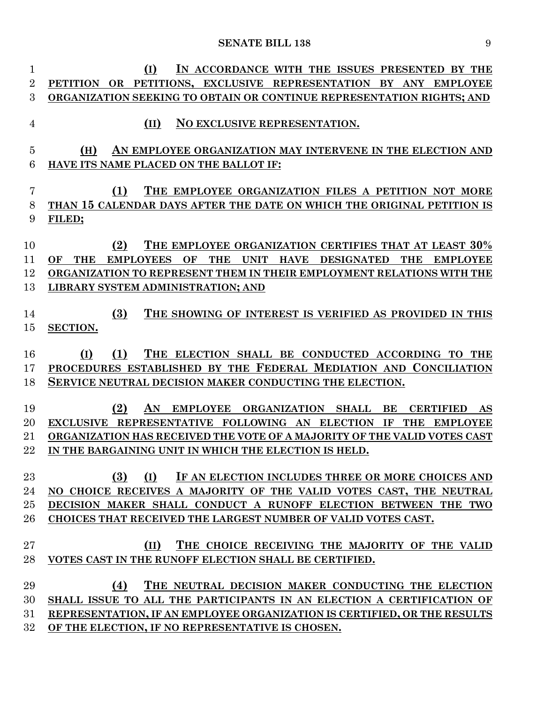| 1              | (I)<br>IN ACCORDANCE WITH THE ISSUES PRESENTED BY THE                                                                                        |
|----------------|----------------------------------------------------------------------------------------------------------------------------------------------|
| $\overline{2}$ | PETITION OR PETITIONS, EXCLUSIVE REPRESENTATION BY ANY<br><b>EMPLOYEE</b>                                                                    |
| 3              | ORGANIZATION SEEKING TO OBTAIN OR CONTINUE REPRESENTATION RIGHTS; AND                                                                        |
| 4              | NO EXCLUSIVE REPRESENTATION.<br>(II)                                                                                                         |
| 5              | (H)<br>AN EMPLOYEE ORGANIZATION MAY INTERVENE IN THE ELECTION AND                                                                            |
| 6              | HAVE ITS NAME PLACED ON THE BALLOT IF:                                                                                                       |
|                |                                                                                                                                              |
| 7              | (1)<br>THE EMPLOYEE ORGANIZATION FILES A PETITION NOT MORE                                                                                   |
| 8              | THAN 15 CALENDAR DAYS AFTER THE DATE ON WHICH THE ORIGINAL PETITION IS                                                                       |
| 9              | FILED;                                                                                                                                       |
|                |                                                                                                                                              |
| 10             | (2)<br>THE EMPLOYEE ORGANIZATION CERTIFIES THAT AT LEAST 30%                                                                                 |
| 11             | <b>THE</b><br><b>EMPLOYEES</b><br><b>THE</b><br><b>UNIT</b><br><b>HAVE</b><br><b>DESIGNATED</b><br><b>THE</b><br><b>EMPLOYEE</b><br>OF<br>OF |
| 12             | ORGANIZATION TO REPRESENT THEM IN THEIR EMPLOYMENT RELATIONS WITH THE                                                                        |
| 13             | LIBRARY SYSTEM ADMINISTRATION; AND                                                                                                           |
|                |                                                                                                                                              |
| 14             | (3)<br>THE SHOWING OF INTEREST IS VERIFIED AS PROVIDED IN THIS                                                                               |
| 15             | <b>SECTION.</b>                                                                                                                              |
| 16             | (1)<br><b>THE</b><br>ELECTION SHALL BE CONDUCTED ACCORDING TO<br>(I)<br>THE                                                                  |
| 17             | PROCEDURES ESTABLISHED BY THE FEDERAL MEDIATION AND CONCILIATION                                                                             |
| 18             | SERVICE NEUTRAL DECISION MAKER CONDUCTING THE ELECTION.                                                                                      |
|                |                                                                                                                                              |
| 19             | (2)<br>AN<br><b>BE</b><br><b>EMPLOYEE</b><br><b>ORGANIZATION</b><br><b>SHALL</b><br><b>CERTIFIED</b><br>AS                                   |
| 20             | <b>EXCLUSIVE</b><br>REPRESENTATIVE FOLLOWING AN ELECTION<br>IF<br><b>THE</b><br><b>EMPLOYEE</b>                                              |
| $\rm 21$       | ORGANIZATION HAS RECEIVED THE VOTE OF A MAJORITY OF THE VALID VOTES CAST                                                                     |
| 22             | IN THE BARGAINING UNIT IN WHICH THE ELECTION IS HELD.                                                                                        |
|                |                                                                                                                                              |
| 23             | (3)<br>(I)<br>IF AN ELECTION INCLUDES THREE OR MORE CHOICES AND                                                                              |
| 24             | NO CHOICE RECEIVES A MAJORITY OF THE VALID VOTES CAST, THE NEUTRAL                                                                           |
| $25\,$         | DECISION MAKER SHALL CONDUCT A RUNOFF ELECTION BETWEEN THE TWO                                                                               |
| 26             | CHOICES THAT RECEIVED THE LARGEST NUMBER OF VALID VOTES CAST.                                                                                |
|                |                                                                                                                                              |
| 27             | (II)<br>THE CHOICE RECEIVING THE MAJORITY OF THE VALID                                                                                       |
| 28             | VOTES CAST IN THE RUNOFF ELECTION SHALL BE CERTIFIED.                                                                                        |
|                |                                                                                                                                              |
| 29             | THE NEUTRAL DECISION MAKER CONDUCTING THE ELECTION<br>(4)                                                                                    |
| 30             | SHALL ISSUE TO ALL THE PARTICIPANTS IN AN ELECTION A CERTIFICATION OF                                                                        |
| 31             | REPRESENTATION, IF AN EMPLOYEE ORGANIZATION IS CERTIFIED, OR THE RESULTS                                                                     |
| $32\,$         | OF THE ELECTION, IF NO REPRESENTATIVE IS CHOSEN.                                                                                             |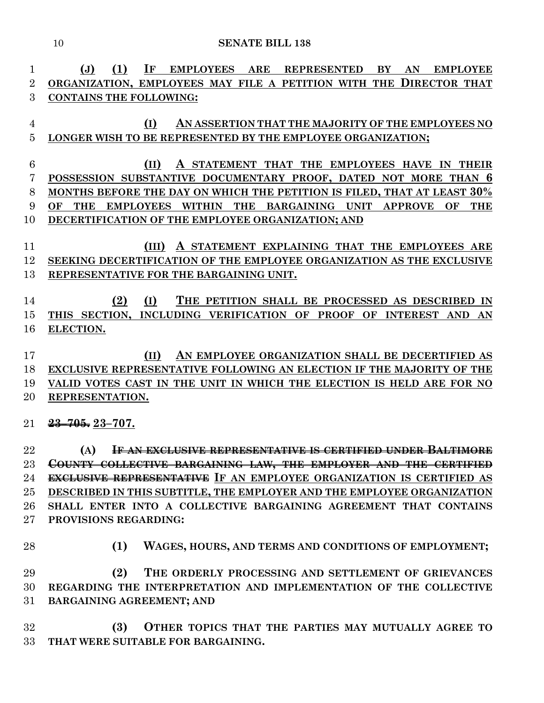**(J) (1) IF EMPLOYEES ARE REPRESENTED BY AN EMPLOYEE ORGANIZATION, EMPLOYEES MAY FILE A PETITION WITH THE DIRECTOR THAT CONTAINS THE FOLLOWING: (I) AN ASSERTION THAT THE MAJORITY OF THE EMPLOYEES NO LONGER WISH TO BE REPRESENTED BY THE EMPLOYEE ORGANIZATION; (II) A STATEMENT THAT THE EMPLOYEES HAVE IN THEIR POSSESSION SUBSTANTIVE DOCUMENTARY PROOF, DATED NOT MORE THAN 6 MONTHS BEFORE THE DAY ON WHICH THE PETITION IS FILED, THAT AT LEAST 30% OF THE EMPLOYEES WITHIN THE BARGAINING UNIT APPROVE OF THE DECERTIFICATION OF THE EMPLOYEE ORGANIZATION; AND (III) A STATEMENT EXPLAINING THAT THE EMPLOYEES ARE SEEKING DECERTIFICATION OF THE EMPLOYEE ORGANIZATION AS THE EXCLUSIVE REPRESENTATIVE FOR THE BARGAINING UNIT. (2) (I) THE PETITION SHALL BE PROCESSED AS DESCRIBED IN THIS SECTION, INCLUDING VERIFICATION OF PROOF OF INTEREST AND AN ELECTION. (II) AN EMPLOYEE ORGANIZATION SHALL BE DECERTIFIED AS EXCLUSIVE REPRESENTATIVE FOLLOWING AN ELECTION IF THE MAJORITY OF THE VALID VOTES CAST IN THE UNIT IN WHICH THE ELECTION IS HELD ARE FOR NO REPRESENTATION. 23–705. 23–707. (A) IF AN EXCLUSIVE REPRESENTATIVE IS CERTIFIED UNDER BALTIMORE COUNTY COLLECTIVE BARGAINING LAW, THE EMPLOYER AND THE CERTIFIED EXCLUSIVE REPRESENTATIVE IF AN EMPLOYEE ORGANIZATION IS CERTIFIED AS DESCRIBED IN THIS SUBTITLE, THE EMPLOYER AND THE EMPLOYEE ORGANIZATION SHALL ENTER INTO A COLLECTIVE BARGAINING AGREEMENT THAT CONTAINS PROVISIONS REGARDING: (1) WAGES, HOURS, AND TERMS AND CONDITIONS OF EMPLOYMENT; (2) THE ORDERLY PROCESSING AND SETTLEMENT OF GRIEVANCES REGARDING THE INTERPRETATION AND IMPLEMENTATION OF THE COLLECTIVE BARGAINING AGREEMENT; AND (3) OTHER TOPICS THAT THE PARTIES MAY MUTUALLY AGREE TO THAT WERE SUITABLE FOR BARGAINING.**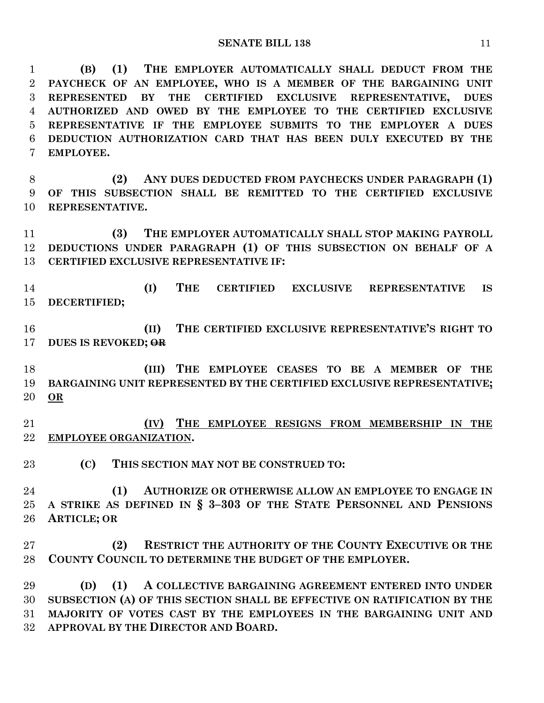**(B) (1) THE EMPLOYER AUTOMATICALLY SHALL DEDUCT FROM THE PAYCHECK OF AN EMPLOYEE, WHO IS A MEMBER OF THE BARGAINING UNIT REPRESENTED BY THE CERTIFIED EXCLUSIVE REPRESENTATIVE, DUES AUTHORIZED AND OWED BY THE EMPLOYEE TO THE CERTIFIED EXCLUSIVE REPRESENTATIVE IF THE EMPLOYEE SUBMITS TO THE EMPLOYER A DUES DEDUCTION AUTHORIZATION CARD THAT HAS BEEN DULY EXECUTED BY THE EMPLOYEE.**

 **(2) ANY DUES DEDUCTED FROM PAYCHECKS UNDER PARAGRAPH (1) OF THIS SUBSECTION SHALL BE REMITTED TO THE CERTIFIED EXCLUSIVE REPRESENTATIVE.**

 **(3) THE EMPLOYER AUTOMATICALLY SHALL STOP MAKING PAYROLL DEDUCTIONS UNDER PARAGRAPH (1) OF THIS SUBSECTION ON BEHALF OF A CERTIFIED EXCLUSIVE REPRESENTATIVE IF:**

 **(I) THE CERTIFIED EXCLUSIVE REPRESENTATIVE IS DECERTIFIED;**

 **(II) THE CERTIFIED EXCLUSIVE REPRESENTATIVE'S RIGHT TO DUES IS REVOKED; OR**

 **(III) THE EMPLOYEE CEASES TO BE A MEMBER OF THE BARGAINING UNIT REPRESENTED BY THE CERTIFIED EXCLUSIVE REPRESENTATIVE; OR**

 **(IV) THE EMPLOYEE RESIGNS FROM MEMBERSHIP IN THE EMPLOYEE ORGANIZATION.**

**(C) THIS SECTION MAY NOT BE CONSTRUED TO:**

 **(1) AUTHORIZE OR OTHERWISE ALLOW AN EMPLOYEE TO ENGAGE IN A STRIKE AS DEFINED IN § 3–303 OF THE STATE PERSONNEL AND PENSIONS ARTICLE; OR**

**(2) RESTRICT THE AUTHORITY OF THE COUNTY EXECUTIVE OR THE COUNTY COUNCIL TO DETERMINE THE BUDGET OF THE EMPLOYER.**

 **(D) (1) A COLLECTIVE BARGAINING AGREEMENT ENTERED INTO UNDER SUBSECTION (A) OF THIS SECTION SHALL BE EFFECTIVE ON RATIFICATION BY THE MAJORITY OF VOTES CAST BY THE EMPLOYEES IN THE BARGAINING UNIT AND APPROVAL BY THE DIRECTOR AND BOARD.**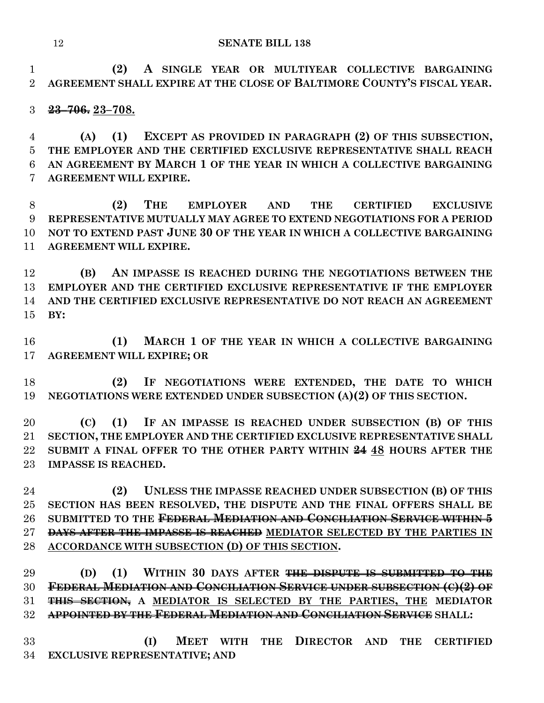**(2) A SINGLE YEAR OR MULTIYEAR COLLECTIVE BARGAINING AGREEMENT SHALL EXPIRE AT THE CLOSE OF BALTIMORE COUNTY'S FISCAL YEAR.**

### **23–706. 23–708.**

 **(A) (1) EXCEPT AS PROVIDED IN PARAGRAPH (2) OF THIS SUBSECTION, THE EMPLOYER AND THE CERTIFIED EXCLUSIVE REPRESENTATIVE SHALL REACH AN AGREEMENT BY MARCH 1 OF THE YEAR IN WHICH A COLLECTIVE BARGAINING AGREEMENT WILL EXPIRE.**

 **(2) THE EMPLOYER AND THE CERTIFIED EXCLUSIVE REPRESENTATIVE MUTUALLY MAY AGREE TO EXTEND NEGOTIATIONS FOR A PERIOD NOT TO EXTEND PAST JUNE 30 OF THE YEAR IN WHICH A COLLECTIVE BARGAINING AGREEMENT WILL EXPIRE.**

 **(B) AN IMPASSE IS REACHED DURING THE NEGOTIATIONS BETWEEN THE EMPLOYER AND THE CERTIFIED EXCLUSIVE REPRESENTATIVE IF THE EMPLOYER AND THE CERTIFIED EXCLUSIVE REPRESENTATIVE DO NOT REACH AN AGREEMENT BY:**

 **(1) MARCH 1 OF THE YEAR IN WHICH A COLLECTIVE BARGAINING AGREEMENT WILL EXPIRE; OR**

 **(2) IF NEGOTIATIONS WERE EXTENDED, THE DATE TO WHICH NEGOTIATIONS WERE EXTENDED UNDER SUBSECTION (A)(2) OF THIS SECTION.**

 **(C) (1) IF AN IMPASSE IS REACHED UNDER SUBSECTION (B) OF THIS SECTION, THE EMPLOYER AND THE CERTIFIED EXCLUSIVE REPRESENTATIVE SHALL SUBMIT A FINAL OFFER TO THE OTHER PARTY WITHIN 24 48 HOURS AFTER THE IMPASSE IS REACHED.**

 **(2) UNLESS THE IMPASSE REACHED UNDER SUBSECTION (B) OF THIS SECTION HAS BEEN RESOLVED, THE DISPUTE AND THE FINAL OFFERS SHALL BE SUBMITTED TO THE FEDERAL MEDIATION AND CONCILIATION SERVICE WITHIN 5 DAYS AFTER THE IMPASSE IS REACHED MEDIATOR SELECTED BY THE PARTIES IN ACCORDANCE WITH SUBSECTION (D) OF THIS SECTION.**

 **(D) (1) WITHIN 30 DAYS AFTER THE DISPUTE IS SUBMITTED TO THE FEDERAL MEDIATION AND CONCILIATION SERVICE UNDER SUBSECTION (C)(2) OF THIS SECTION, A MEDIATOR IS SELECTED BY THE PARTIES, THE MEDIATOR APPOINTED BY THE FEDERAL MEDIATION AND CONCILIATION SERVICE SHALL:**

 **(I) MEET WITH THE DIRECTOR AND THE CERTIFIED EXCLUSIVE REPRESENTATIVE; AND**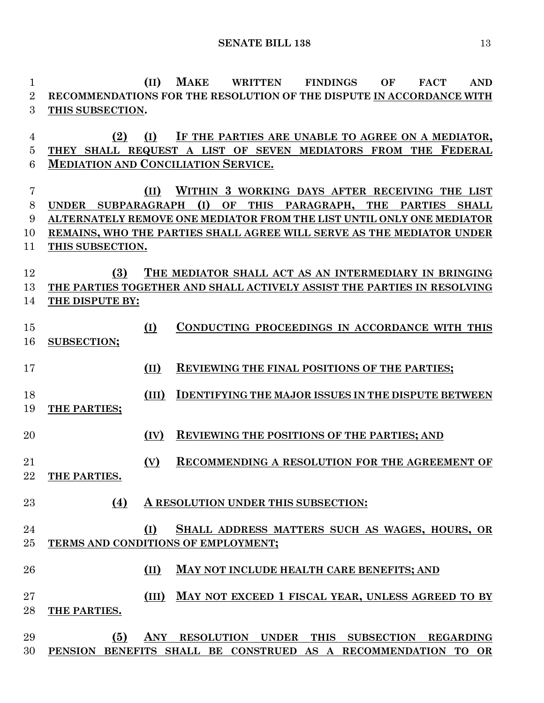**(II) MAKE WRITTEN FINDINGS OF FACT AND RECOMMENDATIONS FOR THE RESOLUTION OF THE DISPUTE IN ACCORDANCE WITH THIS SUBSECTION. (2) (I) IF THE PARTIES ARE UNABLE TO AGREE ON A MEDIATOR, THEY SHALL REQUEST A LIST OF SEVEN MEDIATORS FROM THE FEDERAL MEDIATION AND CONCILIATION SERVICE. (II) WITHIN 3 WORKING DAYS AFTER RECEIVING THE LIST UNDER SUBPARAGRAPH (I) OF THIS PARAGRAPH, THE PARTIES SHALL ALTERNATELY REMOVE ONE MEDIATOR FROM THE LIST UNTIL ONLY ONE MEDIATOR REMAINS, WHO THE PARTIES SHALL AGREE WILL SERVE AS THE MEDIATOR UNDER THIS SUBSECTION. (3) THE MEDIATOR SHALL ACT AS AN INTERMEDIARY IN BRINGING THE PARTIES TOGETHER AND SHALL ACTIVELY ASSIST THE PARTIES IN RESOLVING THE DISPUTE BY: (I) CONDUCTING PROCEEDINGS IN ACCORDANCE WITH THIS SUBSECTION; (II) REVIEWING THE FINAL POSITIONS OF THE PARTIES; (III) IDENTIFYING THE MAJOR ISSUES IN THE DISPUTE BETWEEN THE PARTIES; (IV) REVIEWING THE POSITIONS OF THE PARTIES; AND (V) RECOMMENDING A RESOLUTION FOR THE AGREEMENT OF THE PARTIES. (4) A RESOLUTION UNDER THIS SUBSECTION: (I) SHALL ADDRESS MATTERS SUCH AS WAGES, HOURS, OR TERMS AND CONDITIONS OF EMPLOYMENT; (II) MAY NOT INCLUDE HEALTH CARE BENEFITS; AND (III) MAY NOT EXCEED 1 FISCAL YEAR, UNLESS AGREED TO BY THE PARTIES. (5) ANY RESOLUTION UNDER THIS SUBSECTION REGARDING PENSION BENEFITS SHALL BE CONSTRUED AS A RECOMMENDATION TO OR**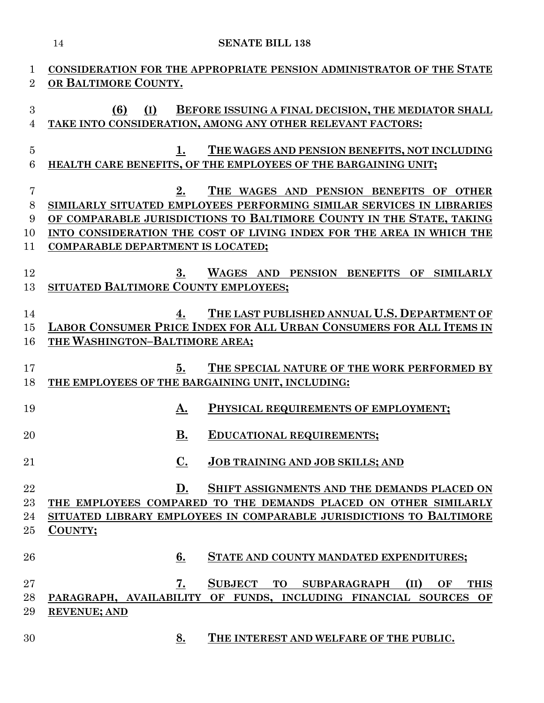| CONSIDERATION FOR THE APPROPRIATE PENSION ADMINISTRATOR OF THE STATE                                                                          |
|-----------------------------------------------------------------------------------------------------------------------------------------------|
| OR BALTIMORE COUNTY.                                                                                                                          |
| (I)<br>BEFORE ISSUING A FINAL DECISION, THE MEDIATOR SHALL<br>(6)                                                                             |
| TAKE INTO CONSIDERATION, AMONG ANY OTHER RELEVANT FACTORS:                                                                                    |
|                                                                                                                                               |
| THE WAGES AND PENSION BENEFITS, NOT INCLUDING<br>$1_{\cdot}$                                                                                  |
| HEALTH CARE BENEFITS, OF THE EMPLOYEES OF THE BARGAINING UNIT;                                                                                |
|                                                                                                                                               |
| THE WAGES AND PENSION BENEFITS OF OTHER<br>2.                                                                                                 |
| SIMILARLY SITUATED EMPLOYEES PERFORMING SIMILAR SERVICES IN LIBRARIES<br>OF COMPARABLE JURISDICTIONS TO BALTIMORE COUNTY IN THE STATE, TAKING |
| INTO CONSIDERATION THE COST OF LIVING INDEX FOR THE AREA IN WHICH THE                                                                         |
| COMPARABLE DEPARTMENT IS LOCATED;                                                                                                             |
|                                                                                                                                               |
| WAGES AND PENSION BENEFITS OF SIMILARLY<br>3.                                                                                                 |
| SITUATED BALTIMORE COUNTY EMPLOYEES;                                                                                                          |
|                                                                                                                                               |
| THE LAST PUBLISHED ANNUAL U.S. DEPARTMENT OF<br>4.<br>LABOR CONSUMER PRICE INDEX FOR ALL URBAN CONSUMERS FOR ALL ITEMS IN                     |
| THE WASHINGTON-BALTIMORE AREA;                                                                                                                |
|                                                                                                                                               |
| THE SPECIAL NATURE OF THE WORK PERFORMED BY<br>5.                                                                                             |
| THE EMPLOYEES OF THE BARGAINING UNIT, INCLUDING:                                                                                              |
|                                                                                                                                               |
| PHYSICAL REQUIREMENTS OF EMPLOYMENT;<br>A.                                                                                                    |
| В.<br>EDUCATIONAL REQUIREMENTS;                                                                                                               |
|                                                                                                                                               |
| $\underline{\mathbf{C}}$ .<br><b>JOB TRAINING AND JOB SKILLS; AND</b>                                                                         |
|                                                                                                                                               |
| SHIFT ASSIGNMENTS AND THE DEMANDS PLACED ON<br>D.                                                                                             |
| THE EMPLOYEES COMPARED TO THE DEMANDS PLACED ON OTHER SIMILARLY<br>SITUATED LIBRARY EMPLOYEES IN COMPARABLE JURISDICTIONS TO BALTIMORE        |
| COUNTY;                                                                                                                                       |
|                                                                                                                                               |
| STATE AND COUNTY MANDATED EXPENDITURES;<br>6.                                                                                                 |
|                                                                                                                                               |
| SUBJECT TO SUBPARAGRAPH<br>7.<br>(II)<br>OF<br><b>THIS</b>                                                                                    |
| PARAGRAPH, AVAILABILITY OF FUNDS, INCLUDING FINANCIAL SOURCES<br>OF                                                                           |
| <b>REVENUE; AND</b>                                                                                                                           |
|                                                                                                                                               |
|                                                                                                                                               |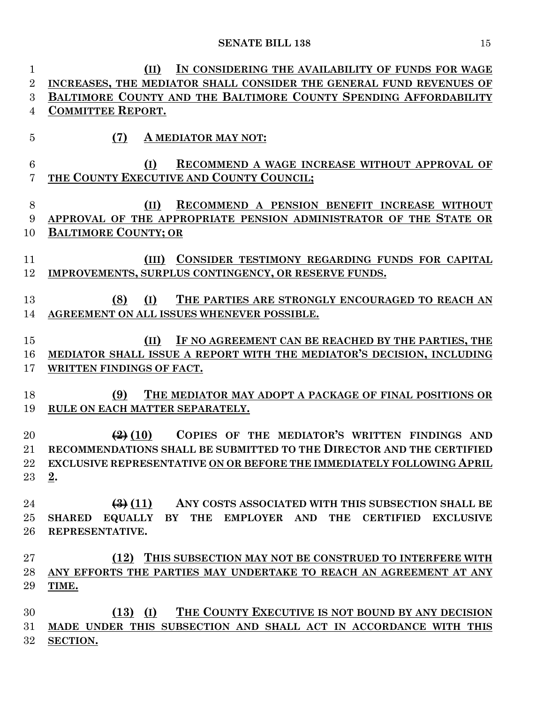| $\mathbf{1}$   | IN CONSIDERING THE AVAILABILITY OF FUNDS FOR WAGE<br>(II)                                          |
|----------------|----------------------------------------------------------------------------------------------------|
| $\overline{2}$ | INCREASES, THE MEDIATOR SHALL CONSIDER THE GENERAL FUND REVENUES OF                                |
| 3              | BALTIMORE COUNTY AND THE BALTIMORE COUNTY SPENDING AFFORDABILITY                                   |
| 4              | <b>COMMITTEE REPORT.</b>                                                                           |
|                |                                                                                                    |
| $\overline{5}$ | (7)<br>A MEDIATOR MAY NOT:                                                                         |
|                |                                                                                                    |
| 6              | (I)<br>RECOMMEND A WAGE INCREASE WITHOUT APPROVAL OF                                               |
| 7              | THE COUNTY EXECUTIVE AND COUNTY COUNCIL;                                                           |
|                |                                                                                                    |
| 8              | RECOMMEND A PENSION BENEFIT INCREASE WITHOUT<br>(II)                                               |
| 9              | APPROVAL OF THE APPROPRIATE PENSION ADMINISTRATOR OF THE STATE OR                                  |
| 10             | <b>BALTIMORE COUNTY; OR</b>                                                                        |
| 11             | CONSIDER TESTIMONY REGARDING FUNDS FOR CAPITAL<br>(III)                                            |
| 12             | IMPROVEMENTS, SURPLUS CONTINGENCY, OR RESERVE FUNDS.                                               |
|                |                                                                                                    |
| 13             | (8)<br>(I)<br>THE PARTIES ARE STRONGLY ENCOURAGED TO REACH AN                                      |
| 14             | AGREEMENT ON ALL ISSUES WHENEVER POSSIBLE.                                                         |
|                |                                                                                                    |
| 15             | (II)<br>IF NO AGREEMENT CAN BE REACHED BY THE PARTIES, THE                                         |
| 16             | MEDIATOR SHALL ISSUE A REPORT WITH THE MEDIATOR'S DECISION, INCLUDING                              |
| 17             | WRITTEN FINDINGS OF FACT.                                                                          |
|                |                                                                                                    |
| 18             | (9)<br>THE MEDIATOR MAY ADOPT A PACKAGE OF FINAL POSITIONS OR                                      |
| 19             | RULE ON EACH MATTER SEPARATELY.                                                                    |
|                |                                                                                                    |
| 20             | COPIES OF THE MEDIATOR'S WRITTEN FINDINGS AND<br>$\left( \frac{1}{2} \right) (10)$                 |
| 21             | RECOMMENDATIONS SHALL BE SUBMITTED TO THE DIRECTOR AND THE CERTIFIED                               |
| $22\,$         | EXCLUSIVE REPRESENTATIVE ON OR BEFORE THE IMMEDIATELY FOLLOWING APRIL                              |
| 23             | 2.                                                                                                 |
|                |                                                                                                    |
| 24             | (3)(11)<br>ANY COSTS ASSOCIATED WITH THIS SUBSECTION SHALL BE                                      |
| $25\,$         | EQUALLY BY THE EMPLOYER AND<br><b>THE</b><br><b>CERTIFIED</b><br><b>EXCLUSIVE</b><br><b>SHARED</b> |
| 26             | REPRESENTATIVE.                                                                                    |
| 27             | (12) THIS SUBSECTION MAY NOT BE CONSTRUED TO INTERFERE WITH                                        |
| 28             | ANY EFFORTS THE PARTIES MAY UNDERTAKE TO REACH AN AGREEMENT AT ANY                                 |
| 29             | TIME.                                                                                              |
|                |                                                                                                    |
| 30             | THE COUNTY EXECUTIVE IS NOT BOUND BY ANY DECISION<br>$(13)$ (I)                                    |
| 31             | MADE UNDER THIS SUBSECTION AND SHALL ACT IN ACCORDANCE WITH THIS                                   |
| $32\,$         | <b>SECTION.</b>                                                                                    |
|                |                                                                                                    |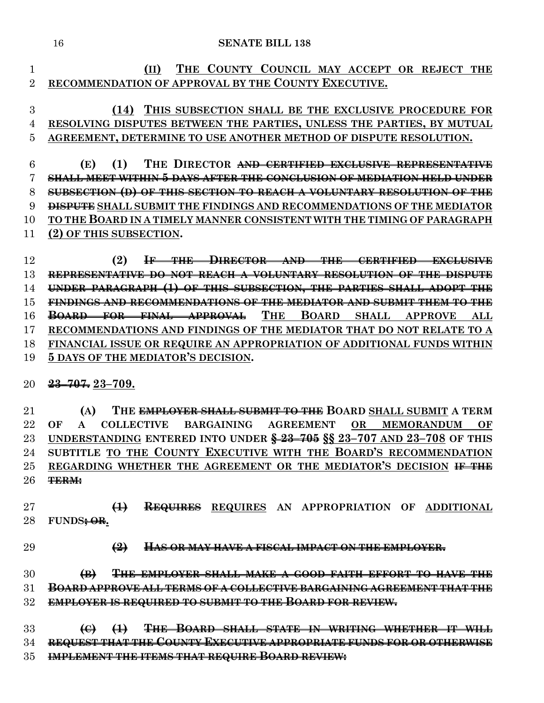**(II) THE COUNTY COUNCIL MAY ACCEPT OR REJECT THE RECOMMENDATION OF APPROVAL BY THE COUNTY EXECUTIVE.**

### **(14) THIS SUBSECTION SHALL BE THE EXCLUSIVE PROCEDURE FOR RESOLVING DISPUTES BETWEEN THE PARTIES, UNLESS THE PARTIES, BY MUTUAL AGREEMENT, DETERMINE TO USE ANOTHER METHOD OF DISPUTE RESOLUTION.**

 **(E) (1) THE DIRECTOR AND CERTIFIED EXCLUSIVE REPRESENTATIVE SHALL MEET WITHIN 5 DAYS AFTER THE CONCLUSION OF MEDIATION HELD UNDER SUBSECTION (D) OF THIS SECTION TO REACH A VOLUNTARY RESOLUTION OF THE DISPUTE SHALL SUBMIT THE FINDINGS AND RECOMMENDATIONS OF THE MEDIATOR TO THE BOARD IN A TIMELY MANNER CONSISTENT WITH THE TIMING OF PARAGRAPH (2) OF THIS SUBSECTION.**

 **(2) IF THE DIRECTOR AND THE CERTIFIED EXCLUSIVE REPRESENTATIVE DO NOT REACH A VOLUNTARY RESOLUTION OF THE DISPUTE UNDER PARAGRAPH (1) OF THIS SUBSECTION, THE PARTIES SHALL ADOPT THE FINDINGS AND RECOMMENDATIONS OF THE MEDIATOR AND SUBMIT THEM TO THE BOARD FOR FINAL APPROVAL THE BOARD SHALL APPROVE ALL RECOMMENDATIONS AND FINDINGS OF THE MEDIATOR THAT DO NOT RELATE TO A FINANCIAL ISSUE OR REQUIRE AN APPROPRIATION OF ADDITIONAL FUNDS WITHIN 5 DAYS OF THE MEDIATOR'S DECISION.**

**23–707. 23–709.**

 **(A) THE EMPLOYER SHALL SUBMIT TO THE BOARD SHALL SUBMIT A TERM OF A COLLECTIVE BARGAINING AGREEMENT OR MEMORANDUM OF UNDERSTANDING ENTERED INTO UNDER § 23–705 §§ 23–707 AND 23–708 OF THIS SUBTITLE TO THE COUNTY EXECUTIVE WITH THE BOARD'S RECOMMENDATION REGARDING WHETHER THE AGREEMENT OR THE MEDIATOR'S DECISION IF THE TERM:**

 **(1) REQUIRES REQUIRES AN APPROPRIATION OF ADDITIONAL FUNDS; OR.**

**(2) HAS OR MAY HAVE A FISCAL IMPACT ON THE EMPLOYER.**

 **(B) THE EMPLOYER SHALL MAKE A GOOD FAITH EFFORT TO HAVE THE BOARD APPROVE ALL TERMS OF A COLLECTIVE BARGAINING AGREEMENT THAT THE EMPLOYER IS REQUIRED TO SUBMIT TO THE BOARD FOR REVIEW.**

 **(C) (1) THE BOARD SHALL STATE IN WRITING WHETHER IT WILL REQUEST THAT THE COUNTY EXECUTIVE APPROPRIATE FUNDS FOR OR OTHERWISE IMPLEMENT THE ITEMS THAT REQUIRE BOARD REVIEW:**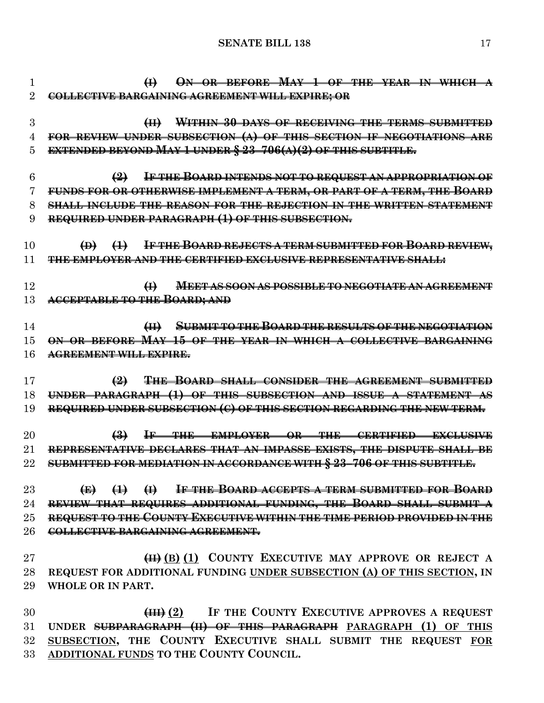**(I) ON OR BEFORE MAY 1 OF THE YEAR IN WHICH A COLLECTIVE BARGAINING AGREEMENT WILL EXPIRE; OR (II) WITHIN 30 DAYS OF RECEIVING THE TERMS SUBMITTED FOR REVIEW UNDER SUBSECTION (A) OF THIS SECTION IF NEGOTIATIONS ARE EXTENDED BEYOND MAY 1 UNDER § 23–706(A)(2) OF THIS SUBTITLE. (2) IF THE BOARD INTENDS NOT TO REQUEST AN APPROPRIATION OF FUNDS FOR OR OTHERWISE IMPLEMENT A TERM, OR PART OF A TERM, THE BOARD SHALL INCLUDE THE REASON FOR THE REJECTION IN THE WRITTEN STATEMENT REQUIRED UNDER PARAGRAPH (1) OF THIS SUBSECTION. (D) (1) IF THE BOARD REJECTS A TERM SUBMITTED FOR BOARD REVIEW, THE EMPLOYER AND THE CERTIFIED EXCLUSIVE REPRESENTATIVE SHALL: (I) MEET AS SOON AS POSSIBLE TO NEGOTIATE AN AGREEMENT ACCEPTABLE TO THE BOARD; AND (II) SUBMIT TO THE BOARD THE RESULTS OF THE NEGOTIATION ON OR BEFORE MAY 15 OF THE YEAR IN WHICH A COLLECTIVE BARGAINING AGREEMENT WILL EXPIRE. (2) THE BOARD SHALL CONSIDER THE AGREEMENT SUBMITTED UNDER PARAGRAPH (1) OF THIS SUBSECTION AND ISSUE A STATEMENT AS REQUIRED UNDER SUBSECTION (C) OF THIS SECTION REGARDING THE NEW TERM. (3) IF THE EMPLOYER OR THE CERTIFIED EXCLUSIVE REPRESENTATIVE DECLARES THAT AN IMPASSE EXISTS, THE DISPUTE SHALL BE SUBMITTED FOR MEDIATION IN ACCORDANCE WITH § 23–706 OF THIS SUBTITLE. (E) (1) (I) IF THE BOARD ACCEPTS A TERM SUBMITTED FOR BOARD REVIEW THAT REQUIRES ADDITIONAL FUNDING, THE BOARD SHALL SUBMIT A REQUEST TO THE COUNTY EXECUTIVE WITHIN THE TIME PERIOD PROVIDED IN THE COLLECTIVE BARGAINING AGREEMENT. (II) (B) (1) COUNTY EXECUTIVE MAY APPROVE OR REJECT A REQUEST FOR ADDITIONAL FUNDING UNDER SUBSECTION (A) OF THIS SECTION, IN WHOLE OR IN PART. (III) (2) IF THE COUNTY EXECUTIVE APPROVES A REQUEST UNDER SUBPARAGRAPH (II) OF THIS PARAGRAPH PARAGRAPH (1) OF THIS SUBSECTION, THE COUNTY EXECUTIVE SHALL SUBMIT THE REQUEST FOR ADDITIONAL FUNDS TO THE COUNTY COUNCIL.**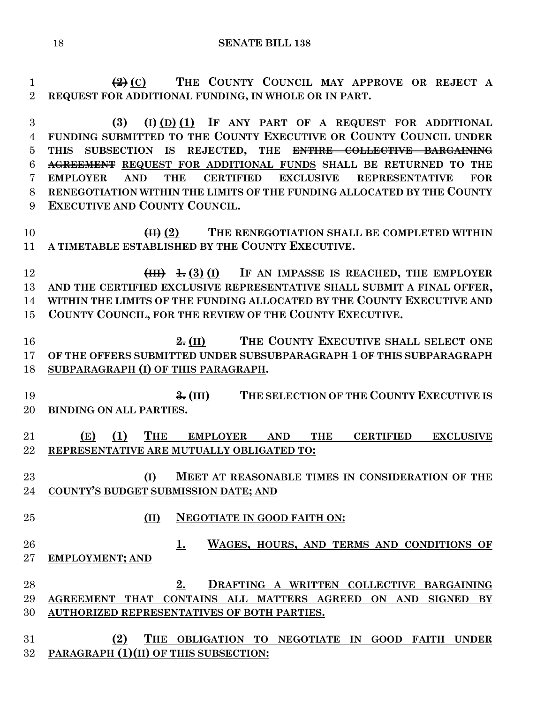**(2) (C) THE COUNTY COUNCIL MAY APPROVE OR REJECT A REQUEST FOR ADDITIONAL FUNDING, IN WHOLE OR IN PART.**

 **(3) (I) (D) (1) IF ANY PART OF A REQUEST FOR ADDITIONAL FUNDING SUBMITTED TO THE COUNTY EXECUTIVE OR COUNTY COUNCIL UNDER THIS SUBSECTION IS REJECTED, THE ENTIRE COLLECTIVE BARGAINING AGREEMENT REQUEST FOR ADDITIONAL FUNDS SHALL BE RETURNED TO THE EMPLOYER AND THE CERTIFIED EXCLUSIVE REPRESENTATIVE FOR RENEGOTIATION WITHIN THE LIMITS OF THE FUNDING ALLOCATED BY THE COUNTY EXECUTIVE AND COUNTY COUNCIL.**

**(II) (2) THE RENEGOTIATION SHALL BE COMPLETED WITHIN A TIMETABLE ESTABLISHED BY THE COUNTY EXECUTIVE.**

 **(III) 1. (3) (I) IF AN IMPASSE IS REACHED, THE EMPLOYER AND THE CERTIFIED EXCLUSIVE REPRESENTATIVE SHALL SUBMIT A FINAL OFFER, WITHIN THE LIMITS OF THE FUNDING ALLOCATED BY THE COUNTY EXECUTIVE AND COUNTY COUNCIL, FOR THE REVIEW OF THE COUNTY EXECUTIVE.**

 **2. (II) THE COUNTY EXECUTIVE SHALL SELECT ONE OF THE OFFERS SUBMITTED UNDER SUBSUBPARAGRAPH 1 OF THIS SUBPARAGRAPH SUBPARAGRAPH (I) OF THIS PARAGRAPH.**

 **3. (III) THE SELECTION OF THE COUNTY EXECUTIVE IS BINDING ON ALL PARTIES.**

 **(E) (1) THE EMPLOYER AND THE CERTIFIED EXCLUSIVE REPRESENTATIVE ARE MUTUALLY OBLIGATED TO:**

 **(I) MEET AT REASONABLE TIMES IN CONSIDERATION OF THE COUNTY'S BUDGET SUBMISSION DATE; AND**

- **(II) NEGOTIATE IN GOOD FAITH ON:**
- **1. WAGES, HOURS, AND TERMS AND CONDITIONS OF EMPLOYMENT; AND**

 **2. DRAFTING A WRITTEN COLLECTIVE BARGAINING AGREEMENT THAT CONTAINS ALL MATTERS AGREED ON AND SIGNED BY AUTHORIZED REPRESENTATIVES OF BOTH PARTIES.**

 **(2) THE OBLIGATION TO NEGOTIATE IN GOOD FAITH UNDER PARAGRAPH (1)(II) OF THIS SUBSECTION:**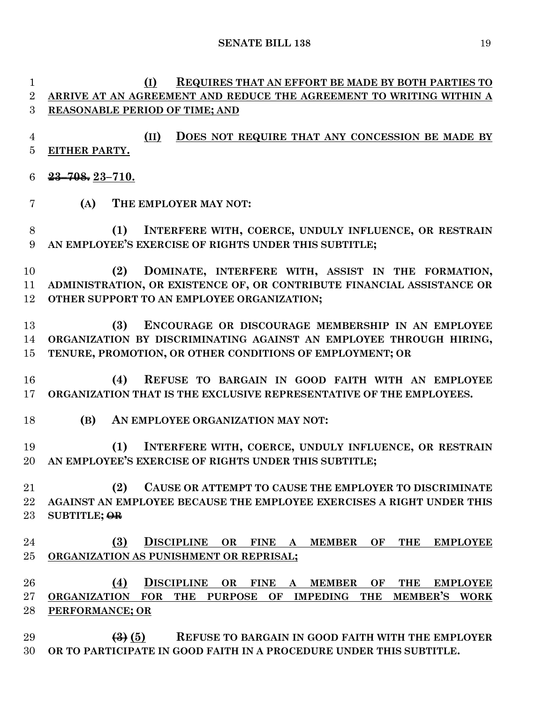**(I) REQUIRES THAT AN EFFORT BE MADE BY BOTH PARTIES TO ARRIVE AT AN AGREEMENT AND REDUCE THE AGREEMENT TO WRITING WITHIN A** 

**REASONABLE PERIOD OF TIME; AND**

 **(II) DOES NOT REQUIRE THAT ANY CONCESSION BE MADE BY EITHER PARTY. 23–708. 23–710. (A) THE EMPLOYER MAY NOT: (1) INTERFERE WITH, COERCE, UNDULY INFLUENCE, OR RESTRAIN AN EMPLOYEE'S EXERCISE OF RIGHTS UNDER THIS SUBTITLE; (2) DOMINATE, INTERFERE WITH, ASSIST IN THE FORMATION, ADMINISTRATION, OR EXISTENCE OF, OR CONTRIBUTE FINANCIAL ASSISTANCE OR OTHER SUPPORT TO AN EMPLOYEE ORGANIZATION; (3) ENCOURAGE OR DISCOURAGE MEMBERSHIP IN AN EMPLOYEE ORGANIZATION BY DISCRIMINATING AGAINST AN EMPLOYEE THROUGH HIRING, TENURE, PROMOTION, OR OTHER CONDITIONS OF EMPLOYMENT; OR (4) REFUSE TO BARGAIN IN GOOD FAITH WITH AN EMPLOYEE ORGANIZATION THAT IS THE EXCLUSIVE REPRESENTATIVE OF THE EMPLOYEES. (B) AN EMPLOYEE ORGANIZATION MAY NOT: (1) INTERFERE WITH, COERCE, UNDULY INFLUENCE, OR RESTRAIN AN EMPLOYEE'S EXERCISE OF RIGHTS UNDER THIS SUBTITLE; (2) CAUSE OR ATTEMPT TO CAUSE THE EMPLOYER TO DISCRIMINATE AGAINST AN EMPLOYEE BECAUSE THE EMPLOYEE EXERCISES A RIGHT UNDER THIS SUBTITLE; OR (3) DISCIPLINE OR FINE A MEMBER OF THE EMPLOYEE ORGANIZATION AS PUNISHMENT OR REPRISAL; (4) DISCIPLINE OR FINE A MEMBER OF THE EMPLOYEE ORGANIZATION FOR THE PURPOSE OF IMPEDING THE MEMBER'S WORK PERFORMANCE; OR (3) (5) REFUSE TO BARGAIN IN GOOD FAITH WITH THE EMPLOYER OR TO PARTICIPATE IN GOOD FAITH IN A PROCEDURE UNDER THIS SUBTITLE.**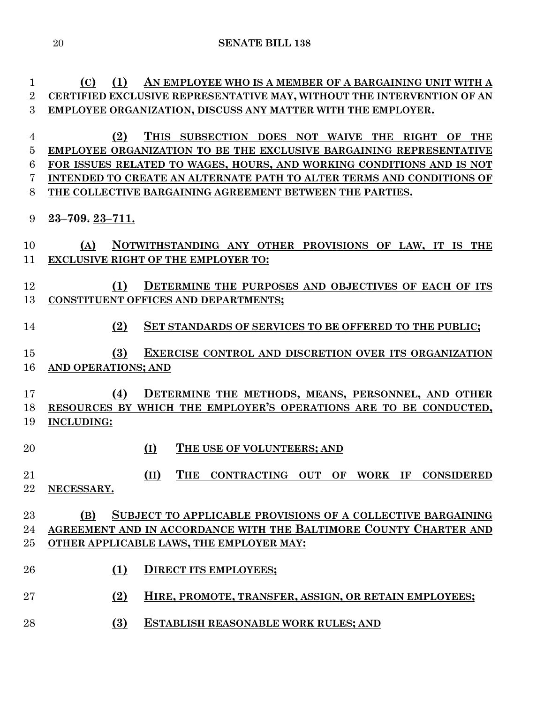**(C) (1) AN EMPLOYEE WHO IS A MEMBER OF A BARGAINING UNIT WITH A CERTIFIED EXCLUSIVE REPRESENTATIVE MAY, WITHOUT THE INTERVENTION OF AN EMPLOYEE ORGANIZATION, DISCUSS ANY MATTER WITH THE EMPLOYER.**

 **(2) THIS SUBSECTION DOES NOT WAIVE THE RIGHT OF THE EMPLOYEE ORGANIZATION TO BE THE EXCLUSIVE BARGAINING REPRESENTATIVE FOR ISSUES RELATED TO WAGES, HOURS, AND WORKING CONDITIONS AND IS NOT INTENDED TO CREATE AN ALTERNATE PATH TO ALTER TERMS AND CONDITIONS OF THE COLLECTIVE BARGAINING AGREEMENT BETWEEN THE PARTIES.**

## **23–709. 23–711.**

 **(A) NOTWITHSTANDING ANY OTHER PROVISIONS OF LAW, IT IS THE EXCLUSIVE RIGHT OF THE EMPLOYER TO:**

## **(1) DETERMINE THE PURPOSES AND OBJECTIVES OF EACH OF ITS CONSTITUENT OFFICES AND DEPARTMENTS;**

- **(2) SET STANDARDS OF SERVICES TO BE OFFERED TO THE PUBLIC;**
- **(3) EXERCISE CONTROL AND DISCRETION OVER ITS ORGANIZATION AND OPERATIONS; AND**
- **(4) DETERMINE THE METHODS, MEANS, PERSONNEL, AND OTHER RESOURCES BY WHICH THE EMPLOYER'S OPERATIONS ARE TO BE CONDUCTED, INCLUDING:**
- **(I) THE USE OF VOLUNTEERS; AND**

## **(II) THE CONTRACTING OUT OF WORK IF CONSIDERED NECESSARY.**

## **(B) SUBJECT TO APPLICABLE PROVISIONS OF A COLLECTIVE BARGAINING AGREEMENT AND IN ACCORDANCE WITH THE BALTIMORE COUNTY CHARTER AND OTHER APPLICABLE LAWS, THE EMPLOYER MAY:**

- **(1) DIRECT ITS EMPLOYEES;**
- **(2) HIRE, PROMOTE, TRANSFER, ASSIGN, OR RETAIN EMPLOYEES;**
- **(3) ESTABLISH REASONABLE WORK RULES; AND**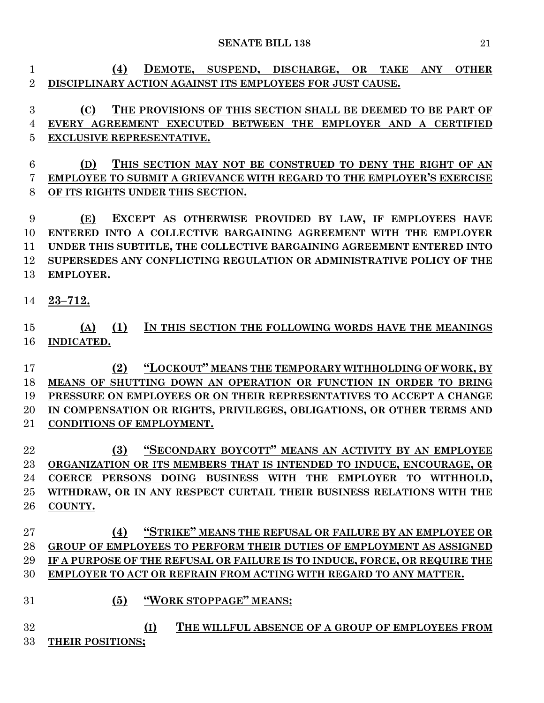**(4) DEMOTE, SUSPEND, DISCHARGE, OR TAKE ANY OTHER DISCIPLINARY ACTION AGAINST ITS EMPLOYEES FOR JUST CAUSE.**

 **(C) THE PROVISIONS OF THIS SECTION SHALL BE DEEMED TO BE PART OF EVERY AGREEMENT EXECUTED BETWEEN THE EMPLOYER AND A CERTIFIED EXCLUSIVE REPRESENTATIVE.**

 **(D) THIS SECTION MAY NOT BE CONSTRUED TO DENY THE RIGHT OF AN EMPLOYEE TO SUBMIT A GRIEVANCE WITH REGARD TO THE EMPLOYER'S EXERCISE OF ITS RIGHTS UNDER THIS SECTION.**

 **(E) EXCEPT AS OTHERWISE PROVIDED BY LAW, IF EMPLOYEES HAVE ENTERED INTO A COLLECTIVE BARGAINING AGREEMENT WITH THE EMPLOYER UNDER THIS SUBTITLE, THE COLLECTIVE BARGAINING AGREEMENT ENTERED INTO SUPERSEDES ANY CONFLICTING REGULATION OR ADMINISTRATIVE POLICY OF THE EMPLOYER.**

**23–712.**

## **(A) (1) IN THIS SECTION THE FOLLOWING WORDS HAVE THE MEANINGS INDICATED.**

 **(2) "LOCKOUT" MEANS THE TEMPORARY WITHHOLDING OF WORK, BY MEANS OF SHUTTING DOWN AN OPERATION OR FUNCTION IN ORDER TO BRING PRESSURE ON EMPLOYEES OR ON THEIR REPRESENTATIVES TO ACCEPT A CHANGE IN COMPENSATION OR RIGHTS, PRIVILEGES, OBLIGATIONS, OR OTHER TERMS AND CONDITIONS OF EMPLOYMENT.**

 **(3) "SECONDARY BOYCOTT" MEANS AN ACTIVITY BY AN EMPLOYEE ORGANIZATION OR ITS MEMBERS THAT IS INTENDED TO INDUCE, ENCOURAGE, OR COERCE PERSONS DOING BUSINESS WITH THE EMPLOYER TO WITHHOLD, WITHDRAW, OR IN ANY RESPECT CURTAIL THEIR BUSINESS RELATIONS WITH THE COUNTY.**

## **(4) "STRIKE" MEANS THE REFUSAL OR FAILURE BY AN EMPLOYEE OR GROUP OF EMPLOYEES TO PERFORM THEIR DUTIES OF EMPLOYMENT AS ASSIGNED IF A PURPOSE OF THE REFUSAL OR FAILURE IS TO INDUCE, FORCE, OR REQUIRE THE EMPLOYER TO ACT OR REFRAIN FROM ACTING WITH REGARD TO ANY MATTER.**

- **(5) "WORK STOPPAGE" MEANS:**
- **(I) THE WILLFUL ABSENCE OF A GROUP OF EMPLOYEES FROM THEIR POSITIONS;**